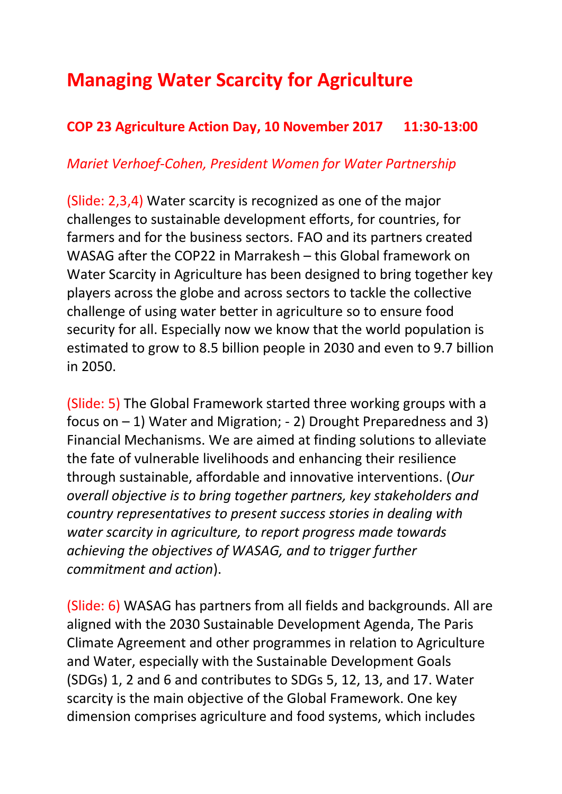## **Managing Water Scarcity for Agriculture**

## **COP 23 Agriculture Action Day, 10 November 2017 11:30-13:00**

## *Mariet Verhoef-Cohen, President Women for Water Partnership*

(Slide: 2,3,4) Water scarcity is recognized as one of the major challenges to sustainable development efforts, for countries, for farmers and for the business sectors. FAO and its partners created WASAG after the COP22 in Marrakesh – this Global framework on Water Scarcity in Agriculture has been designed to bring together key players across the globe and across sectors to tackle the collective challenge of using water better in agriculture so to ensure food security for all. Especially now we know that the world population is estimated to grow to 8.5 billion people in 2030 and even to 9.7 billion in 2050.

(Slide: 5) The Global Framework started three working groups with a focus on – 1) Water and Migration; - 2) Drought Preparedness and 3) Financial Mechanisms. We are aimed at finding solutions to alleviate the fate of vulnerable livelihoods and enhancing their resilience through sustainable, affordable and innovative interventions. (*Our overall objective is to bring together partners, key stakeholders and country representatives to present success stories in dealing with water scarcity in agriculture, to report progress made towards achieving the objectives of WASAG, and to trigger further commitment and action*).

(Slide: 6) WASAG has partners from all fields and backgrounds. All are aligned with the 2030 Sustainable Development Agenda, The Paris Climate Agreement and other programmes in relation to Agriculture and Water, especially with the Sustainable Development Goals (SDGs) 1, 2 and 6 and contributes to SDGs 5, 12, 13, and 17. Water scarcity is the main objective of the Global Framework. One key dimension comprises agriculture and food systems, which includes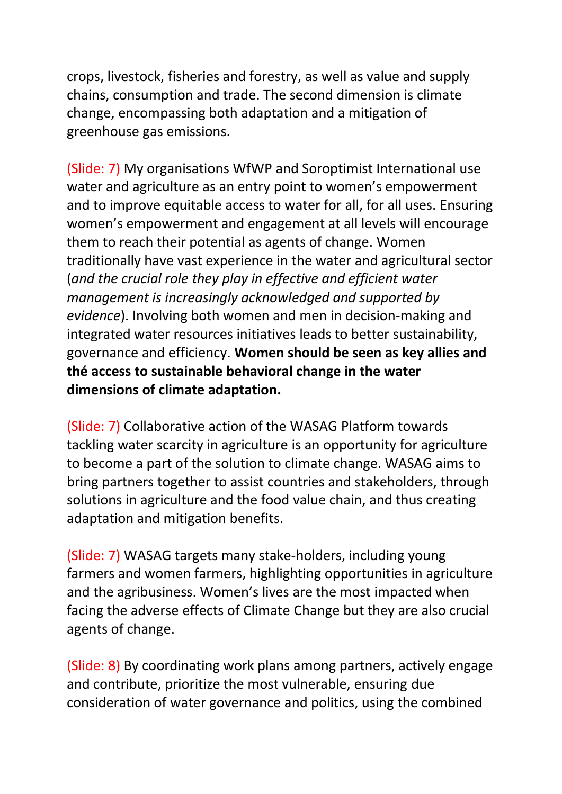crops, livestock, fisheries and forestry, as well as value and supply chains, consumption and trade. The second dimension is climate change, encompassing both adaptation and a mitigation of greenhouse gas emissions.

(Slide: 7) My organisations WfWP and Soroptimist International use water and agriculture as an entry point to women's empowerment and to improve equitable access to water for all, for all uses. Ensuring women's empowerment and engagement at all levels will encourage them to reach their potential as agents of change. Women traditionally have vast experience in the water and agricultural sector (*and the crucial role they play in effective and efficient water management is increasingly acknowledged and supported by evidence*). Involving both women and men in decision-making and integrated water resources initiatives leads to better sustainability, governance and efficiency. **Women should be seen as key allies and thé access to sustainable behavioral change in the water dimensions of climate adaptation.**

(Slide: 7) Collaborative action of the WASAG Platform towards tackling water scarcity in agriculture is an opportunity for agriculture to become a part of the solution to climate change. WASAG aims to bring partners together to assist countries and stakeholders, through solutions in agriculture and the food value chain, and thus creating adaptation and mitigation benefits.

(Slide: 7) WASAG targets many stake-holders, including young farmers and women farmers, highlighting opportunities in agriculture and the agribusiness. Women's lives are the most impacted when facing the adverse effects of Climate Change but they are also crucial agents of change.

(Slide: 8) By coordinating work plans among partners, actively engage and contribute, prioritize the most vulnerable, ensuring due consideration of water governance and politics, using the combined